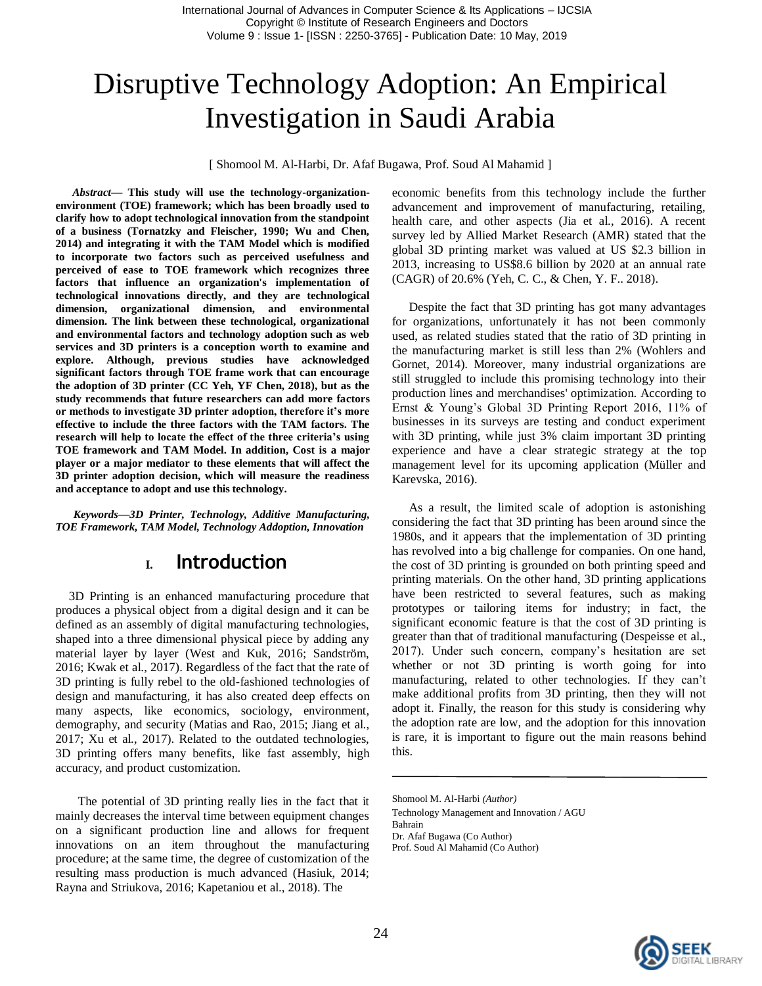# Disruptive Technology Adoption: An Empirical Investigation in Saudi Arabia

[ Shomool M. Al-Harbi, Dr. Afaf Bugawa, Prof. Soud Al Mahamid ]

*Abstract***— This study will use the technology-organizationenvironment (TOE) framework; which has been broadly used to clarify how to adopt technological innovation from the standpoint of a business (Tornatzky and Fleischer, 1990; Wu and Chen, 2014) and integrating it with the TAM Model which is modified to incorporate two factors such as perceived usefulness and perceived of ease to TOE framework which recognizes three factors that influence an organization's implementation of technological innovations directly, and they are technological dimension, organizational dimension, and environmental dimension. The link between these technological, organizational and environmental factors and technology adoption such as web services and 3D printers is a conception worth to examine and explore. Although, previous studies have acknowledged significant factors through TOE frame work that can encourage the adoption of 3D printer (CC Yeh, YF Chen, 2018), but as the study recommends that future researchers can add more factors or methods to investigate 3D printer adoption, therefore it's more effective to include the three factors with the TAM factors. The research will help to locate the effect of the three criteria's using TOE framework and TAM Model. In addition, Cost is a major player or a major mediator to these elements that will affect the 3D printer adoption decision, which will measure the readiness and acceptance to adopt and use this technology.**

*Keywords—3D Printer, Technology, Additive Manufacturing, TOE Framework, TAM Model, Technology Addoption, Innovation*

#### **I. Introduction**

3D Printing is an enhanced manufacturing procedure that produces a physical object from a digital design and it can be defined as an assembly of digital manufacturing technologies, shaped into a three dimensional physical piece by adding any material layer by layer (West and Kuk, 2016; Sandström, 2016; Kwak et al., 2017). Regardless of the fact that the rate of 3D printing is fully rebel to the old-fashioned technologies of design and manufacturing, it has also created deep effects on many aspects, like economics, sociology, environment, demography, and security (Matias and Rao, 2015; Jiang et al., 2017; Xu et al., 2017). Related to the outdated technologies, 3D printing offers many benefits, like fast assembly, high accuracy, and product customization.

The potential of 3D printing really lies in the fact that it mainly decreases the interval time between equipment changes on a significant production line and allows for frequent innovations on an item throughout the manufacturing procedure; at the same time, the degree of customization of the resulting mass production is much advanced (Hasiuk, 2014; Rayna and Striukova, 2016; Kapetaniou et al., 2018). The

economic benefits from this technology include the further advancement and improvement of manufacturing, retailing, health care, and other aspects (Jia et al., 2016). A recent survey led by Allied Market Research (AMR) stated that the global 3D printing market was valued at US \$2.3 billion in 2013, increasing to US\$8.6 billion by 2020 at an annual rate (CAGR) of 20.6% (Yeh, C. C., & Chen, Y. F.. 2018).

Despite the fact that 3D printing has got many advantages for organizations, unfortunately it has not been commonly used, as related studies stated that the ratio of 3D printing in the manufacturing market is still less than 2% (Wohlers and Gornet, 2014). Moreover, many industrial organizations are still struggled to include this promising technology into their production lines and merchandises' optimization. According to Ernst & Young's Global 3D Printing Report 2016, 11% of businesses in its surveys are testing and conduct experiment with 3D printing, while just 3% claim important 3D printing experience and have a clear strategic strategy at the top management level for its upcoming application (Müller and Karevska, 2016).

As a result, the limited scale of adoption is astonishing considering the fact that 3D printing has been around since the 1980s, and it appears that the implementation of 3D printing has revolved into a big challenge for companies. On one hand, the cost of 3D printing is grounded on both printing speed and printing materials. On the other hand, 3D printing applications have been restricted to several features, such as making prototypes or tailoring items for industry; in fact, the significant economic feature is that the cost of 3D printing is greater than that of traditional manufacturing (Despeisse et al., 2017). Under such concern, company's hesitation are set whether or not 3D printing is worth going for into manufacturing, related to other technologies. If they can't make additional profits from 3D printing, then they will not adopt it. Finally, the reason for this study is considering why the adoption rate are low, and the adoption for this innovation is rare, it is important to figure out the main reasons behind this.



Shomool M. Al-Harbi *(Author)*

Technology Management and Innovation / AGU

Bahrain

Dr. Afaf Bugawa (Co Author)

Prof. Soud Al Mahamid (Co Author)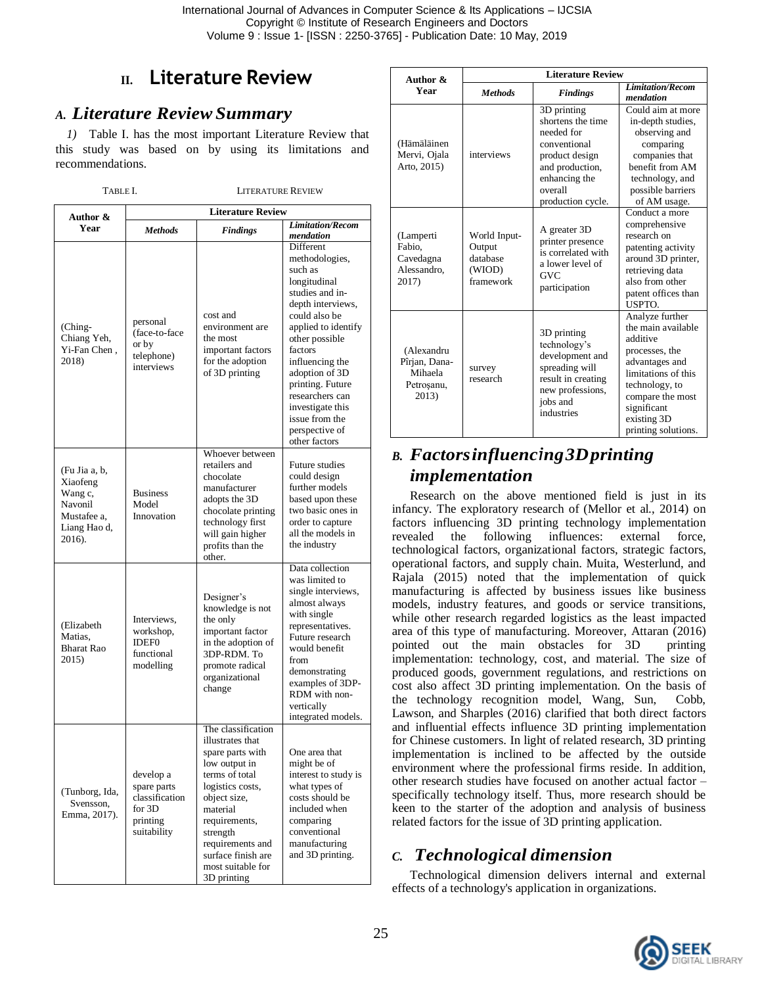# **II. Literature Review**

#### *A. Literature ReviewSummary*

*1)* Table I. has the most important Literature Review that this study was based on by using its limitations and recommendations.

TABLE I. LITERATURE REVIEW

| Author &<br>Year                                                                         | <b>Literature Review</b>                                                          |                                                                                                                                                                                                                                                          |                                                                                                                                                                                                                                                                                                                          |  |
|------------------------------------------------------------------------------------------|-----------------------------------------------------------------------------------|----------------------------------------------------------------------------------------------------------------------------------------------------------------------------------------------------------------------------------------------------------|--------------------------------------------------------------------------------------------------------------------------------------------------------------------------------------------------------------------------------------------------------------------------------------------------------------------------|--|
|                                                                                          | <b>Methods</b>                                                                    | <b>Findings</b>                                                                                                                                                                                                                                          | <b>Limitation/Recom</b><br>mendation                                                                                                                                                                                                                                                                                     |  |
| (Ching-<br>Chiang Yeh,<br>Yi-Fan Chen,<br>2018)                                          | personal<br>(face-to-face)<br>or by<br>telephone)<br>interviews                   | cost and<br>environment are<br>the most<br>important factors<br>for the adoption<br>of 3D printing                                                                                                                                                       | Different<br>methodologies,<br>such as<br>longitudinal<br>studies and in-<br>depth interviews,<br>could also be<br>applied to identify<br>other possible<br>factors<br>influencing the<br>adoption of 3D<br>printing. Future<br>researchers can<br>investigate this<br>issue from the<br>perspective of<br>other factors |  |
| (Fu Jia a, b,<br>Xiaofeng<br>Wang c,<br>Navonil<br>Mustafee a,<br>Liang Hao d,<br>2016). | <b>Business</b><br>Model<br>Innovation                                            | Whoever between<br>retailers and<br>chocolate<br>manufacturer<br>adopts the 3D<br>chocolate printing<br>technology first<br>will gain higher<br>profits than the<br>other.                                                                               | Future studies<br>could design<br>further models<br>based upon these<br>two basic ones in<br>order to capture<br>all the models in<br>the industry                                                                                                                                                                       |  |
| (Elizabeth<br>Matias.<br><b>Bharat Rao</b><br>2015)                                      | Interviews,<br>workshop,<br><b>IDEF0</b><br>functional<br>modelling               | Designer's<br>knowledge is not<br>the only<br>important factor<br>in the adoption of<br>3DP-RDM. To<br>promote radical<br>organizational<br>change                                                                                                       | Data collection<br>was limited to<br>single interviews,<br>almost always<br>with single<br>representatives.<br>Future research<br>would benefit<br>from<br>demonstrating<br>examples of 3DP-<br>RDM with non-<br>vertically<br>integrated models.                                                                        |  |
| (Tunborg, Ida,<br>Svensson,<br>Emma, 2017).                                              | develop a<br>spare parts<br>classification<br>for $3D$<br>printing<br>suitability | The classification<br>illustrates that<br>spare parts with<br>low output in<br>terms of total<br>logistics costs,<br>object size,<br>material<br>requirements,<br>strength<br>requirements and<br>surface finish are<br>most suitable for<br>3D printing | One area that<br>might be of<br>interest to study is<br>what types of<br>costs should be<br>included when<br>comparing<br>conventional<br>manufacturing<br>and 3D printing.                                                                                                                                              |  |

| Author &<br>Year                                              | <b>Literature Review</b>                                  |                                                                                                                                                      |                                                                                                                                                                                                         |
|---------------------------------------------------------------|-----------------------------------------------------------|------------------------------------------------------------------------------------------------------------------------------------------------------|---------------------------------------------------------------------------------------------------------------------------------------------------------------------------------------------------------|
|                                                               | <b>Methods</b>                                            | <b>Findings</b>                                                                                                                                      | <b>Limitation/Recom</b><br>mendation                                                                                                                                                                    |
| (Hämäläinen<br>Mervi, Ojala<br>Arto, 2015)                    | interviews                                                | 3D printing<br>shortens the time<br>needed for<br>conventional<br>product design<br>and production,<br>enhancing the<br>overall<br>production cycle. | Could aim at more<br>in-depth studies,<br>observing and<br>comparing<br>companies that<br>benefit from AM<br>technology, and<br>possible barriers<br>of AM usage.                                       |
| (Lamperti<br>Fabio.<br>Cavedagna<br>Alessandro,<br>2017)      | World Input-<br>Output<br>database<br>(WIOD)<br>framework | A greater 3D<br>printer presence<br>is correlated with<br>a lower level of<br><b>GVC</b><br>participation                                            | Conduct a more<br>comprehensive<br>research on<br>patenting activity<br>around 3D printer,<br>retrieving data<br>also from other<br>patent offices than<br>USPTO.                                       |
| (Alexandru<br>Pîrjan, Dana-<br>Mihaela<br>Petroșanu,<br>2013) | survey<br>research                                        | 3D printing<br>technology's<br>development and<br>spreading will<br>result in creating<br>new professions,<br>jobs and<br>industries                 | Analyze further<br>the main available<br>additive<br>processes, the<br>advantages and<br>limitations of this<br>technology, to<br>compare the most<br>significant<br>existing 3D<br>printing solutions. |

## *B. Factorsinfluencing3Dprinting implementation*

Research on the above mentioned field is just in its infancy. The exploratory research of (Mellor et al., 2014) on factors influencing 3D printing technology implementation revealed the following influences: external force, technological factors, organizational factors, strategic factors, operational factors, and supply chain. Muita, Westerlund, and Rajala (2015) noted that the implementation of quick manufacturing is affected by business issues like business models, industry features, and goods or service transitions, while other research regarded logistics as the least impacted area of this type of manufacturing. Moreover, Attaran (2016) pointed out the main obstacles for 3D printing implementation: technology, cost, and material. The size of produced goods, government regulations, and restrictions on cost also affect 3D printing implementation. On the basis of the technology recognition model, Wang, Sun, Cobb, Lawson, and Sharples (2016) clarified that both direct factors and influential effects influence 3D printing implementation for Chinese customers. In light of related research, 3D printing implementation is inclined to be affected by the outside environment where the professional firms reside. In addition, other research studies have focused on another actual factor – specifically technology itself. Thus, more research should be keen to the starter of the adoption and analysis of business related factors for the issue of 3D printing application.

#### *C. Technological dimension*

Technological dimension delivers internal and external effects of a technology's application in organizations.

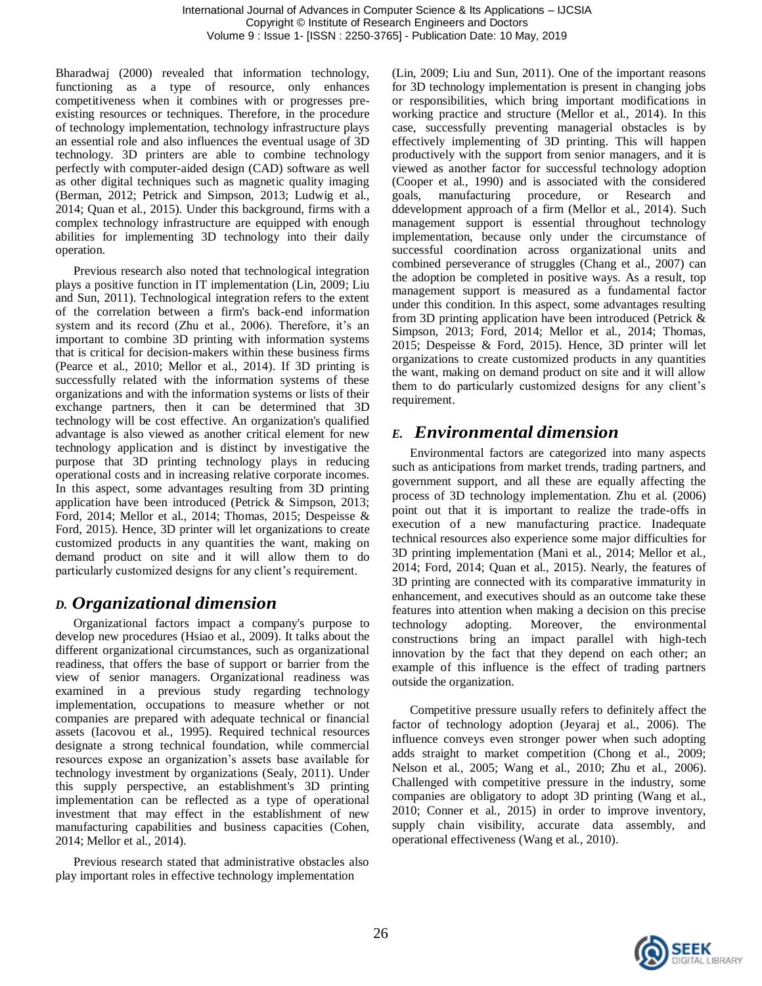Bharadwaj (2000) revealed that information technology, functioning as a type of resource, only enhances competitiveness when it combines with or progresses preexisting resources or techniques. Therefore, in the procedure of technology implementation, technology infrastructure plays an essential role and also influences the eventual usage of 3D technology. 3D printers are able to combine technology perfectly with computer-aided design (CAD) software as well as other digital techniques such as magnetic quality imaging (Berman, 2012; Petrick and Simpson, 2013; Ludwig et al., 2014; Quan et al., 2015). Under this background, firms with a complex technology infrastructure are equipped with enough abilities for implementing 3D technology into their daily operation.

Previous research also noted that technological integration plays a positive function in IT implementation (Lin, 2009; Liu and Sun, 2011). Technological integration refers to the extent of the correlation between a firm's back-end information system and its record (Zhu et al., 2006). Therefore, it's an important to combine 3D printing with information systems that is critical for decision-makers within these business firms (Pearce et al., 2010; Mellor et al., 2014). If 3D printing is successfully related with the information systems of these organizations and with the information systems or lists of their exchange partners, then it can be determined that 3D technology will be cost effective. An organization's qualified advantage is also viewed as another critical element for new technology application and is distinct by investigative the purpose that 3D printing technology plays in reducing operational costs and in increasing relative corporate incomes. In this aspect, some advantages resulting from 3D printing application have been introduced (Petrick & Simpson, 2013; Ford, 2014; Mellor et al., 2014; Thomas, 2015; Despeisse & Ford, 2015). Hence, 3D printer will let organizations to create customized products in any quantities the want, making on demand product on site and it will allow them to do particularly customized designs for any client's requirement.

#### *D. Organizational dimension*

Organizational factors impact a company's purpose to develop new procedures (Hsiao et al., 2009). It talks about the different organizational circumstances, such as organizational readiness, that offers the base of support or barrier from the view of senior managers. Organizational readiness was examined in a previous study regarding technology implementation, occupations to measure whether or not companies are prepared with adequate technical or financial assets (Iacovou et al., 1995). Required technical resources designate a strong technical foundation, while commercial resources expose an organization's assets base available for technology investment by organizations (Sealy, 2011). Under this supply perspective, an establishment's 3D printing implementation can be reflected as a type of operational investment that may effect in the establishment of new manufacturing capabilities and business capacities (Cohen, 2014; Mellor et al., 2014).

Previous research stated that administrative obstacles also play important roles in effective technology implementation

(Lin, 2009; Liu and Sun, 2011). One of the important reasons for 3D technology implementation is present in changing jobs or responsibilities, which bring important modifications in working practice and structure (Mellor et al., 2014). In this case, successfully preventing managerial obstacles is by effectively implementing of 3D printing. This will happen productively with the support from senior managers, and it is viewed as another factor for successful technology adoption (Cooper et al., 1990) and is associated with the considered goals, manufacturing procedure, or Research and ddevelopment approach of a firm (Mellor et al., 2014). Such management support is essential throughout technology implementation, because only under the circumstance of successful coordination across organizational units and combined perseverance of struggles (Chang et al., 2007) can the adoption be completed in positive ways. As a result, top management support is measured as a fundamental factor under this condition. In this aspect, some advantages resulting from 3D printing application have been introduced (Petrick & Simpson, 2013; Ford, 2014; Mellor et al., 2014; Thomas, 2015; Despeisse & Ford, 2015). Hence, 3D printer will let organizations to create customized products in any quantities the want, making on demand product on site and it will allow them to do particularly customized designs for any client's requirement.

#### *E. Environmental dimension*

Environmental factors are categorized into many aspects such as anticipations from market trends, trading partners, and government support, and all these are equally affecting the process of 3D technology implementation. Zhu et al. (2006) point out that it is important to realize the trade-offs in execution of a new manufacturing practice. Inadequate technical resources also experience some major difficulties for 3D printing implementation (Mani et al., 2014; Mellor et al., 2014; Ford, 2014; Quan et al., 2015). Nearly, the features of 3D printing are connected with its comparative immaturity in enhancement, and executives should as an outcome take these features into attention when making a decision on this precise technology adopting. Moreover, the environmental constructions bring an impact parallel with high-tech innovation by the fact that they depend on each other; an example of this influence is the effect of trading partners outside the organization.

Competitive pressure usually refers to definitely affect the factor of technology adoption (Jeyaraj et al., 2006). The influence conveys even stronger power when such adopting adds straight to market competition (Chong et al., 2009; Nelson et al., 2005; Wang et al., 2010; Zhu et al., 2006). Challenged with competitive pressure in the industry, some companies are obligatory to adopt 3D printing (Wang et al., 2010; Conner et al., 2015) in order to improve inventory, supply chain visibility, accurate data assembly, and operational effectiveness (Wang et al., 2010).

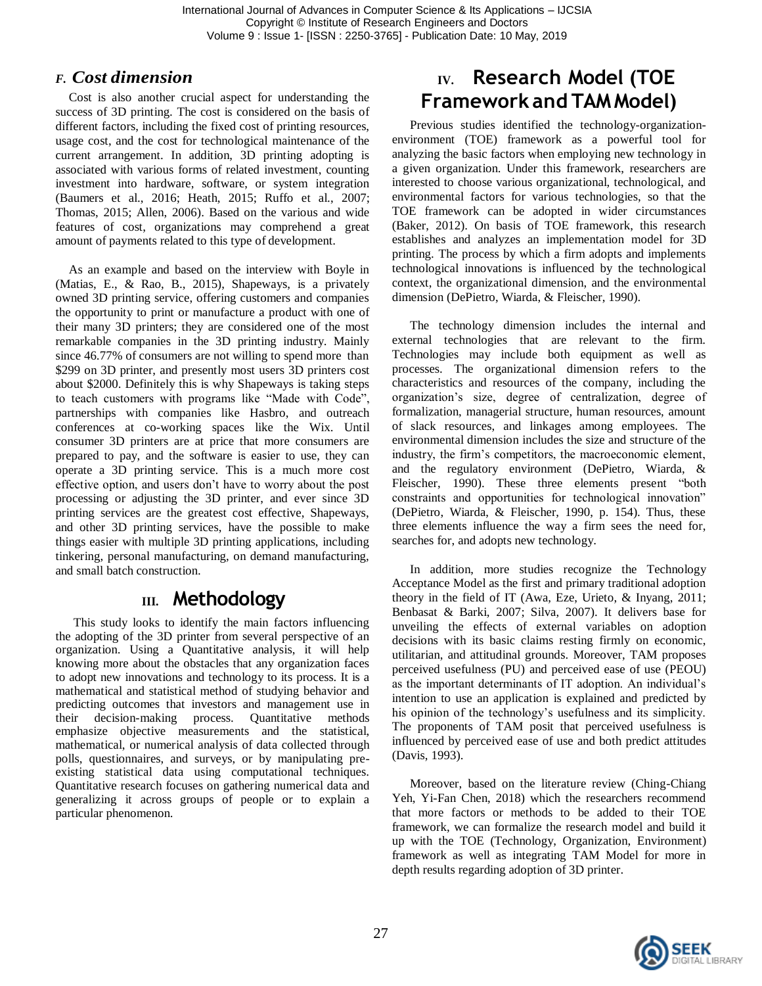International Journal of Advances in Computer Science & Its Applications – IJCSIA Copyright © Institute of Research Engineers and Doctors Volume 9 : Issue 1- [ISSN : 2250-3765] - Publication Date: 10 May, 2019

#### *F. Cost dimension*

Cost is also another crucial aspect for understanding the success of 3D printing. The cost is considered on the basis of different factors, including the fixed cost of printing resources, usage cost, and the cost for technological maintenance of the current arrangement. In addition, 3D printing adopting is associated with various forms of related investment, counting investment into hardware, software, or system integration (Baumers et al., 2016; Heath, 2015; Ruffo et al., 2007; Thomas, 2015; Allen, 2006). Based on the various and wide features of cost, organizations may comprehend a great amount of payments related to this type of development.

As an example and based on the interview with Boyle in (Matias, E., & Rao, B., 2015), Shapeways, is a privately owned 3D printing service, offering customers and companies the opportunity to print or manufacture a product with one of their many 3D printers; they are considered one of the most remarkable companies in the 3D printing industry. Mainly since 46.77% of consumers are not willing to spend more than \$299 on 3D printer, and presently most users 3D printers cost about \$2000. Definitely this is why Shapeways is taking steps to teach customers with programs like "Made with Code", partnerships with companies like Hasbro, and outreach conferences at co-working spaces like the Wix. Until consumer 3D printers are at price that more consumers are prepared to pay, and the software is easier to use, they can operate a 3D printing service. This is a much more cost effective option, and users don't have to worry about the post processing or adjusting the 3D printer, and ever since 3D printing services are the greatest cost effective, Shapeways, and other 3D printing services, have the possible to make things easier with multiple 3D printing applications, including tinkering, personal manufacturing, on demand manufacturing, and small batch construction.

### **III. Methodology**

This study looks to identify the main factors influencing the adopting of the 3D printer from several perspective of an organization. Using a Quantitative analysis, it will help knowing more about the obstacles that any organization faces to adopt new innovations and technology to its process. It is a mathematical and statistical method of studying behavior and predicting outcomes that investors and management use in their decision-making process. Quantitative methods their decision-making process. Quantitative methods emphasize objective measurements and the statistical, mathematical, or numerical analysis of data collected through polls, questionnaires, and surveys, or by manipulating preexisting statistical data using computational techniques. Quantitative research focuses on gathering numerical data and generalizing it across groups of people or to explain a particular phenomenon.

# **IV. Research Model (TOE Framework and TAMModel)**

Previous studies identified the technology-organizationenvironment (TOE) framework as a powerful tool for analyzing the basic factors when employing new technology in a given organization. Under this framework, researchers are interested to choose various organizational, technological, and environmental factors for various technologies, so that the TOE framework can be adopted in wider circumstances (Baker, 2012). On basis of TOE framework, this research establishes and analyzes an implementation model for 3D printing. The process by which a firm adopts and implements technological innovations is influenced by the technological context, the organizational dimension, and the environmental dimension (DePietro, Wiarda, & Fleischer, 1990).

The technology dimension includes the internal and external technologies that are relevant to the firm. Technologies may include both equipment as well as processes. The organizational dimension refers to the characteristics and resources of the company, including the organization's size, degree of centralization, degree of formalization, managerial structure, human resources, amount of slack resources, and linkages among employees. The environmental dimension includes the size and structure of the industry, the firm's competitors, the macroeconomic element, and the regulatory environment (DePietro, Wiarda, & Fleischer, 1990). These three elements present "both constraints and opportunities for technological innovation" (DePietro, Wiarda, & Fleischer, 1990, p. 154). Thus, these three elements influence the way a firm sees the need for, searches for, and adopts new technology.

In addition, more studies recognize the Technology Acceptance Model as the first and primary traditional adoption theory in the field of IT (Awa, Eze, Urieto, & Inyang, 2011; Benbasat & Barki, 2007; Silva, 2007). It delivers base for unveiling the effects of external variables on adoption decisions with its basic claims resting firmly on economic, utilitarian, and attitudinal grounds. Moreover, TAM proposes perceived usefulness (PU) and perceived ease of use (PEOU) as the important determinants of IT adoption. An individual's intention to use an application is explained and predicted by his opinion of the technology's usefulness and its simplicity. The proponents of TAM posit that perceived usefulness is influenced by perceived ease of use and both predict attitudes (Davis, 1993).

Moreover, based on the literature review (Ching-Chiang Yeh, Yi-Fan Chen, 2018) which the researchers recommend that more factors or methods to be added to their TOE framework, we can formalize the research model and build it up with the TOE (Technology, Organization, Environment) framework as well as integrating TAM Model for more in depth results regarding adoption of 3D printer.

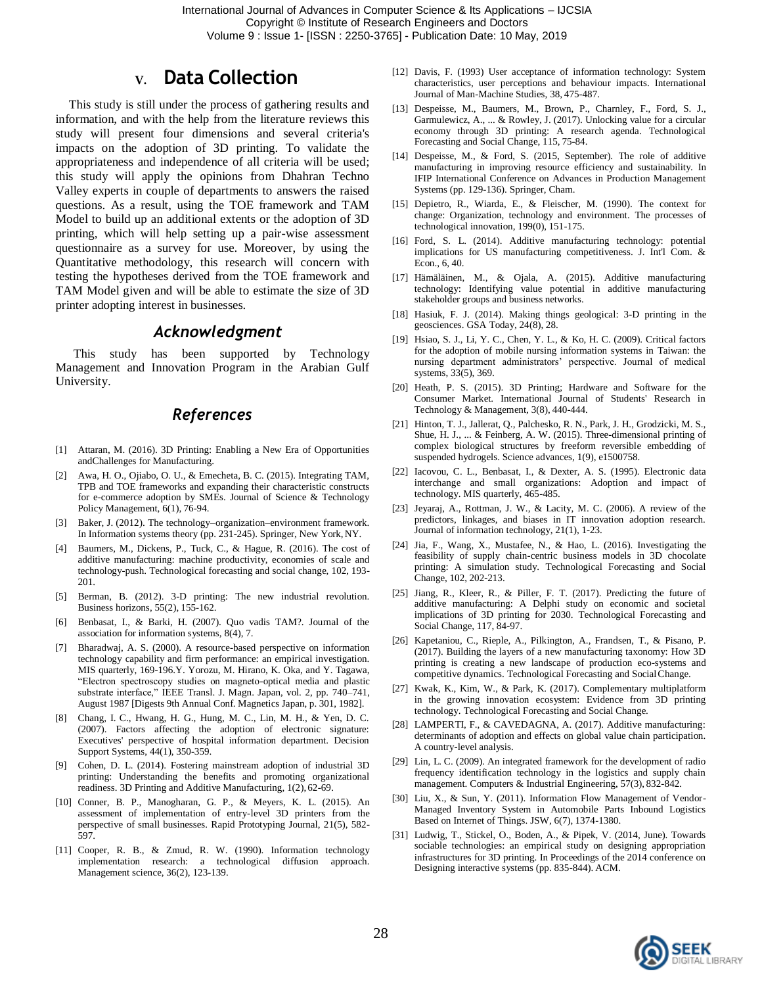## **V. Data Collection**

This study is still under the process of gathering results and information, and with the help from the literature reviews this study will present four dimensions and several criteria's impacts on the adoption of 3D printing. To validate the appropriateness and independence of all criteria will be used; this study will apply the opinions from Dhahran Techno Valley experts in couple of departments to answers the raised questions. As a result, using the TOE framework and TAM Model to build up an additional extents or the adoption of 3D printing, which will help setting up a pair-wise assessment questionnaire as a survey for use. Moreover, by using the Quantitative methodology, this research will concern with testing the hypotheses derived from the TOE framework and TAM Model given and will be able to estimate the size of 3D printer adopting interest in businesses.

#### *Acknowledgment*

This study has been supported by Technology Management and Innovation Program in the Arabian Gulf University.

#### *References*

- [1] Attaran, M. (2016). 3D Printing: Enabling a New Era of Opportunities andChallenges for Manufacturing.
- [2] Awa, H. O., Ojiabo, O. U., & Emecheta, B. C. (2015). Integrating TAM, TPB and TOE frameworks and expanding their characteristic constructs for e-commerce adoption by SMEs. Journal of Science & Technology Policy Management, 6(1), 76-94.
- [3] Baker, J. (2012). The technology–organization–environment framework. In Information systems theory (pp. 231-245). Springer, New York,NY.
- [4] Baumers, M., Dickens, P., Tuck, C., & Hague, R. (2016). The cost of additive manufacturing: machine productivity, economies of scale and technology-push. Technological forecasting and social change, 102, 193- 201.
- [5] Berman, B. (2012). 3-D printing: The new industrial revolution. Business horizons, 55(2), 155-162.
- [6] Benbasat, I., & Barki, H. (2007). Quo vadis TAM?. Journal of the association for information systems, 8(4), 7.
- [7] Bharadwaj, A. S. (2000). A resource-based perspective on information technology capability and firm performance: an empirical investigation. MIS quarterly, 169-196.Y. Yorozu, M. Hirano, K. Oka, and Y. Tagawa, "Electron spectroscopy studies on magneto-optical media and plastic substrate interface," IEEE Transl. J. Magn. Japan, vol. 2, pp. 740–741, August 1987 [Digests 9th Annual Conf. Magnetics Japan, p. 301, 1982].
- [8] Chang, I. C., Hwang, H. G., Hung, M. C., Lin, M. H., & Yen, D. C. (2007). Factors affecting the adoption of electronic signature: Executives' perspective of hospital information department. Decision Support Systems, 44(1), 350-359.
- [9] Cohen, D. L. (2014). Fostering mainstream adoption of industrial 3D printing: Understanding the benefits and promoting organizational readiness. 3D Printing and Additive Manufacturing, 1(2), 62-69.
- [10] Conner, B. P., Manogharan, G. P., & Meyers, K. L. (2015). An assessment of implementation of entry-level 3D printers from the perspective of small businesses. Rapid Prototyping Journal, 21(5), 582- 597.
- [11] Cooper, R. B., & Zmud, R. W. (1990). Information technology implementation research: a technological diffusion approach. Management science, 36(2), 123-139.
- [12] Davis, F. (1993) User acceptance of information technology: System characteristics, user perceptions and behaviour impacts. International Journal of Man-Machine Studies, 38, 475-487.
- [13] Despeisse, M., Baumers, M., Brown, P., Charnley, F., Ford, S. J., Garmulewicz, A., ... & Rowley, J. (2017). Unlocking value for a circular economy through 3D printing: A research agenda. Technological Forecasting and Social Change, 115, 75-84.
- [14] Despeisse, M., & Ford, S. (2015, September). The role of additive manufacturing in improving resource efficiency and sustainability. In IFIP International Conference on Advances in Production Management Systems (pp. 129-136). Springer, Cham.
- [15] Depietro, R., Wiarda, E., & Fleischer, M. (1990). The context for change: Organization, technology and environment. The processes of technological innovation, 199(0), 151-175.
- [16] Ford, S. L. (2014). Additive manufacturing technology: potential implications for US manufacturing competitiveness. J. Int'l Com. & Econ., 6, 40.
- [17] Hämäläinen, M., & Ojala, A. (2015). Additive manufacturing technology: Identifying value potential in additive manufacturing stakeholder groups and business networks.
- [18] Hasiuk, F. J. (2014). Making things geological: 3-D printing in the geosciences. GSA Today, 24(8), 28.
- [19] Hsiao, S. J., Li, Y. C., Chen, Y. L., & Ko, H. C. (2009). Critical factors for the adoption of mobile nursing information systems in Taiwan: the nursing department administrators' perspective. Journal of medical systems, 33(5), 369.
- [20] Heath, P. S. (2015). 3D Printing; Hardware and Software for the Consumer Market. International Journal of Students' Research in Technology & Management, 3(8), 440-444.
- [21] Hinton, T. J., Jallerat, Q., Palchesko, R. N., Park, J. H., Grodzicki, M. S., Shue, H. J., ... & Feinberg, A. W. (2015). Three-dimensional printing of complex biological structures by freeform reversible embedding of suspended hydrogels. Science advances, 1(9), e1500758.
- [22] Iacovou, C. L., Benbasat, I., & Dexter, A. S. (1995). Electronic data interchange and small organizations: Adoption and impact of technology. MIS quarterly, 465-485.
- [23] Jeyaraj, A., Rottman, J. W., & Lacity, M. C. (2006). A review of the predictors, linkages, and biases in IT innovation adoption research. Journal of information technology, 21(1), 1-23.
- [24] Jia, F., Wang, X., Mustafee, N., & Hao, L. (2016). Investigating the feasibility of supply chain-centric business models in 3D chocolate printing: A simulation study. Technological Forecasting and Social Change, 102, 202-213.
- [25] Jiang, R., Kleer, R., & Piller, F. T. (2017). Predicting the future of additive manufacturing: A Delphi study on economic and societal implications of 3D printing for 2030. Technological Forecasting and Social Change, 117, 84-97.
- [26] Kapetaniou, C., Rieple, A., Pilkington, A., Frandsen, T., & Pisano, P. (2017). Building the layers of a new manufacturing taxonomy: How 3D printing is creating a new landscape of production eco-systems and competitive dynamics. Technological Forecasting and SocialChange.
- [27] Kwak, K., Kim, W., & Park, K. (2017). Complementary multiplatform in the growing innovation ecosystem: Evidence from 3D printing technology. Technological Forecasting and Social Change.
- [28] LAMPERTI, F., & CAVEDAGNA, A. (2017). Additive manufacturing: determinants of adoption and effects on global value chain participation. A country-level analysis.
- [29] Lin, L. C. (2009). An integrated framework for the development of radio frequency identification technology in the logistics and supply chain management. Computers & Industrial Engineering, 57(3), 832-842.
- [30] Liu, X., & Sun, Y. (2011). Information Flow Management of Vendor-Managed Inventory System in Automobile Parts Inbound Logistics Based on Internet of Things. JSW, 6(7), 1374-1380.
- [31] Ludwig, T., Stickel, O., Boden, A., & Pipek, V. (2014, June). Towards sociable technologies: an empirical study on designing appropriation infrastructures for 3D printing. In Proceedings of the 2014 conference on Designing interactive systems (pp. 835-844). ACM.